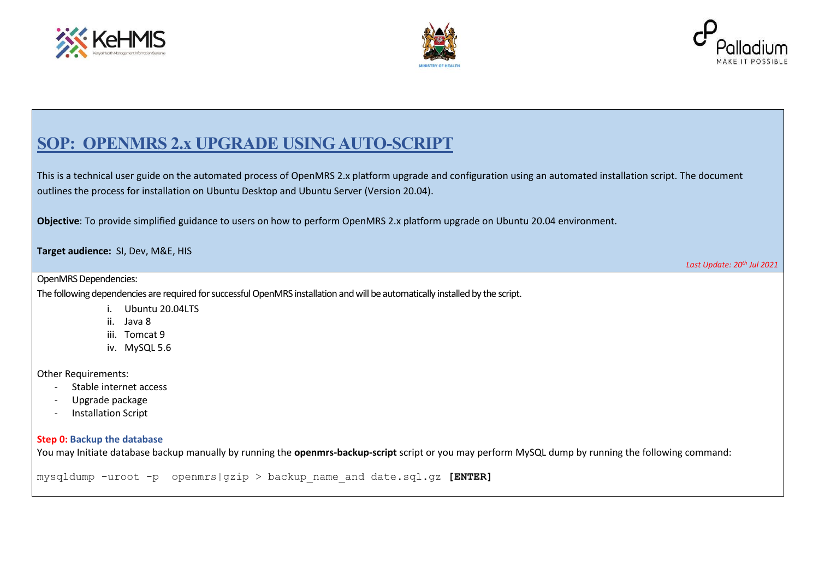





### **SOP: OPENMRS 2.x UPGRADE USING AUTO-SCRIPT**

This is a technical user guide on the automated process of OpenMRS 2.x platform upgrade and configuration using an automated installation script. The document outlines the process for installation on Ubuntu Desktop and Ubuntu Server (Version 20.04).

**Objective**: To provide simplified guidance to users on how to perform OpenMRS 2.x platform upgrade on Ubuntu 20.04 environment.

**Target audience:** SI, Dev, M&E, HIS

*Last Update: 20th Jul 2021*

OpenMRS Dependencies:

The following dependencies are required for successful OpenMRS installation andwill be automatically installed by the script.

- i. Ubuntu 20.04LTS
- ii. Java 8
- iii. Tomcat 9
- iv. MySQL 5.6

Other Requirements:

- Stable internet access
- Upgrade package
- Installation Script

### **Step 0: Backup the database**

You may Initiate database backup manually by running the **openmrs-backup-script** script or you may perform MySQL dump by running the following command:

mysqldump -uroot -p openmrs|gzip > backup\_name\_and date.sql.gz **[ENTER]**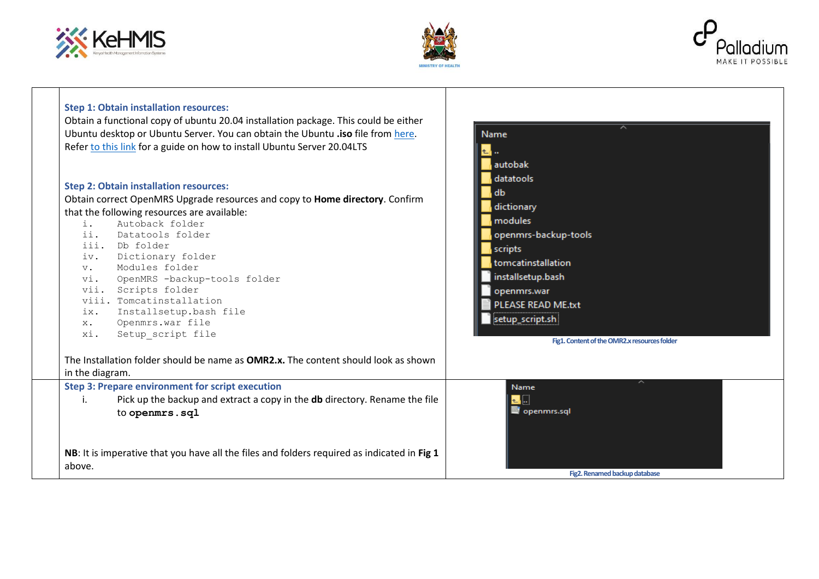# ※ KeHMIS





| <b>Step 1: Obtain installation resources:</b><br>Obtain a functional copy of ubuntu 20.04 installation package. This could be either<br>Ubuntu desktop or Ubuntu Server. You can obtain the Ubuntu .iso file from here.<br>Refer to this link for a guide on how to install Ubuntu Server 20.04LTS                                                                                                                                                                                                    | ㅅ<br>Name<br>autobak                                                                                                                                                                                                           |
|-------------------------------------------------------------------------------------------------------------------------------------------------------------------------------------------------------------------------------------------------------------------------------------------------------------------------------------------------------------------------------------------------------------------------------------------------------------------------------------------------------|--------------------------------------------------------------------------------------------------------------------------------------------------------------------------------------------------------------------------------|
| <b>Step 2: Obtain installation resources:</b><br>Obtain correct OpenMRS Upgrade resources and copy to Home directory. Confirm<br>that the following resources are available:<br>Autoback folder<br>i.<br>ii.<br>Datatools folder<br>iii. Db folder<br>Dictionary folder<br>iv.<br>Modules folder<br>$V_{\bullet}$<br>vi.<br>OpenMRS -backup-tools folder<br>vii. Scripts folder<br>viii. Tomcatinstallation<br>Installsetup.bash file<br>ix.<br>Openmrs.war file<br>$X$ .<br>Setup_script file<br>xi. | datatools<br>db<br>dictionary<br>modules<br>openmrs-backup-tools<br>scripts<br>tomcatinstallation<br>installsetup.bash<br>openmrs.war<br>PLEASE READ ME.txt<br>setup_script.sh<br>Fig1. Content of the OMR2.x resources folder |
| The Installation folder should be name as <b>OMR2.x.</b> The content should look as shown<br>in the diagram.                                                                                                                                                                                                                                                                                                                                                                                          |                                                                                                                                                                                                                                |
| <b>Step 3: Prepare environment for script execution</b><br>Pick up the backup and extract a copy in the <b>db</b> directory. Rename the file<br>i.<br>to openmrs.sql<br>NB: It is imperative that you have all the files and folders required as indicated in Fig 1<br>above.                                                                                                                                                                                                                         | ∼<br>Name<br>┺╽┅<br>$\blacksquare$ openmrs.sql<br>Fig2. Renamed backup database                                                                                                                                                |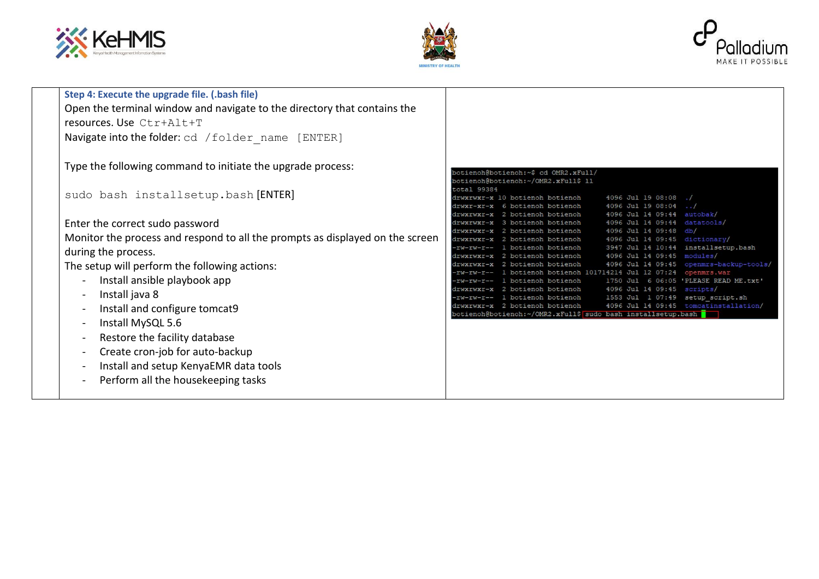





| Step 4: Execute the upgrade file. (.bash file)                                |                                                                                                                                        |
|-------------------------------------------------------------------------------|----------------------------------------------------------------------------------------------------------------------------------------|
| Open the terminal window and navigate to the directory that contains the      |                                                                                                                                        |
| resources. Use Ctr+Alt+T                                                      |                                                                                                                                        |
|                                                                               |                                                                                                                                        |
| Navigate into the folder: cd / folder name [ENTER]                            |                                                                                                                                        |
|                                                                               |                                                                                                                                        |
| Type the following command to initiate the upgrade process:                   |                                                                                                                                        |
|                                                                               | botienoh@botienoh:~\$ cd OMR2.xFull/                                                                                                   |
|                                                                               | botienoh@botienoh:~/OMR2.xFull\$ 11                                                                                                    |
| sudo bash installsetup.bash [ENTER]                                           | total 99384<br>drwxrwxr-x 10 botienoh botienoh<br>4096 Jul 19 08:08                                                                    |
|                                                                               | 4096 Jul 19 08:04<br>botienoh botienoh                                                                                                 |
|                                                                               | 4096 Jul 14 09:44<br>2 botienoh botienoh<br>autobak/                                                                                   |
| Enter the correct sudo password                                               | 4096 Jul 14 09:44<br>3 botienoh botienoh<br>datatools/<br>drwxrwxr-x                                                                   |
| Monitor the process and respond to all the prompts as displayed on the screen | 4096 Jul 14 09:48<br>2 botienoh botienoh<br>db/<br>drwxrwxr-x                                                                          |
|                                                                               | 4096 Jul 14 09:45<br>dictionary/<br>2 botienoh botienoh<br>3947 Jul 14 10:44<br>installsetup.bash<br>1 botienoh botienoh               |
| during the process.                                                           | 4096 Jul 14 09:45<br>modules/<br>2 botienoh botienoh<br>drwxrwxr-x                                                                     |
| The setup will perform the following actions:                                 | 4096 Jul 14 09:45 openmrs-backup-tools/<br>2 botienoh botienoh<br>drwxrwxr-x                                                           |
|                                                                               | 1 botienoh botienoh 101714214 Jul 12 07:24<br>openmrs.war                                                                              |
| Install ansible playbook app                                                  | rw-rw-r-- 1 botienon botienon<br>1750 Jul 6 06:05 'PLEASE READ ME.txt'<br>4096 Jul 14 09:45 scripts/<br>drwxrwxr-x 2 botienoh botienoh |
| Install java 8                                                                | 1553 Jul 1 07:49 setup script.sh<br>-rw-rw-r-- 1 botienoh botienoh                                                                     |
| Install and configure tomcat9                                                 | 4096 Jul 14 09:45 tomcatinstallation/<br>drwxrwxr-x 2 botienoh botienoh                                                                |
|                                                                               | botienoh@botienoh:~/OMR2.xFull\$ sudo bash installsetup.bash                                                                           |
| Install MySQL 5.6                                                             |                                                                                                                                        |
| Restore the facility database                                                 |                                                                                                                                        |
| Create cron-job for auto-backup                                               |                                                                                                                                        |
| Install and setup KenyaEMR data tools                                         |                                                                                                                                        |
| Perform all the housekeeping tasks                                            |                                                                                                                                        |
|                                                                               |                                                                                                                                        |
|                                                                               |                                                                                                                                        |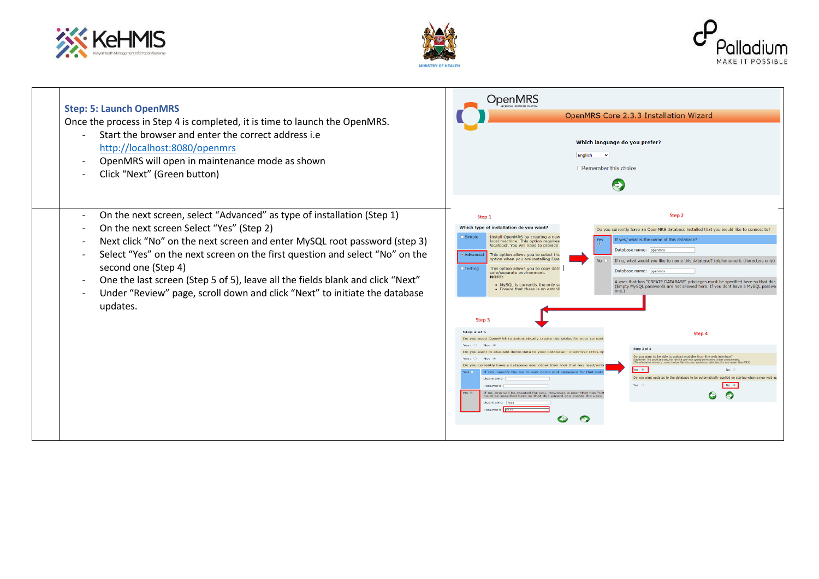# ※ KeHMIS





| <b>Step: 5: Launch OpenMRS</b>                                                                                                                                                                                                                                                                                                                                                                                                                                                                                                                                         | <b>OpenMRS</b>                                                                                                                                                                                                                                                                                                                                                                                                                                                                                                                                                                                                                                                                                                                                                                                                                                                                                                                                                                                                                                                                                                                                                                                                                                                                                                                                                                                                                                                                                                                                                                                                                                                                                                                                                                                                                                              |
|------------------------------------------------------------------------------------------------------------------------------------------------------------------------------------------------------------------------------------------------------------------------------------------------------------------------------------------------------------------------------------------------------------------------------------------------------------------------------------------------------------------------------------------------------------------------|-------------------------------------------------------------------------------------------------------------------------------------------------------------------------------------------------------------------------------------------------------------------------------------------------------------------------------------------------------------------------------------------------------------------------------------------------------------------------------------------------------------------------------------------------------------------------------------------------------------------------------------------------------------------------------------------------------------------------------------------------------------------------------------------------------------------------------------------------------------------------------------------------------------------------------------------------------------------------------------------------------------------------------------------------------------------------------------------------------------------------------------------------------------------------------------------------------------------------------------------------------------------------------------------------------------------------------------------------------------------------------------------------------------------------------------------------------------------------------------------------------------------------------------------------------------------------------------------------------------------------------------------------------------------------------------------------------------------------------------------------------------------------------------------------------------------------------------------------------------|
| Once the process in Step 4 is completed, it is time to launch the OpenMRS.                                                                                                                                                                                                                                                                                                                                                                                                                                                                                             | OpenMRS Core 2.3.3 Installation Wizard                                                                                                                                                                                                                                                                                                                                                                                                                                                                                                                                                                                                                                                                                                                                                                                                                                                                                                                                                                                                                                                                                                                                                                                                                                                                                                                                                                                                                                                                                                                                                                                                                                                                                                                                                                                                                      |
| Start the browser and enter the correct address i.e.                                                                                                                                                                                                                                                                                                                                                                                                                                                                                                                   | Which language do you prefer?                                                                                                                                                                                                                                                                                                                                                                                                                                                                                                                                                                                                                                                                                                                                                                                                                                                                                                                                                                                                                                                                                                                                                                                                                                                                                                                                                                                                                                                                                                                                                                                                                                                                                                                                                                                                                               |
| $\overline{\phantom{0}}$                                                                                                                                                                                                                                                                                                                                                                                                                                                                                                                                               | English                                                                                                                                                                                                                                                                                                                                                                                                                                                                                                                                                                                                                                                                                                                                                                                                                                                                                                                                                                                                                                                                                                                                                                                                                                                                                                                                                                                                                                                                                                                                                                                                                                                                                                                                                                                                                                                     |
| http://localhost:8080/openmrs                                                                                                                                                                                                                                                                                                                                                                                                                                                                                                                                          | $\mathbf{\ddot{}}$                                                                                                                                                                                                                                                                                                                                                                                                                                                                                                                                                                                                                                                                                                                                                                                                                                                                                                                                                                                                                                                                                                                                                                                                                                                                                                                                                                                                                                                                                                                                                                                                                                                                                                                                                                                                                                          |
| OpenMRS will open in maintenance mode as shown                                                                                                                                                                                                                                                                                                                                                                                                                                                                                                                         | □ Remember this choice                                                                                                                                                                                                                                                                                                                                                                                                                                                                                                                                                                                                                                                                                                                                                                                                                                                                                                                                                                                                                                                                                                                                                                                                                                                                                                                                                                                                                                                                                                                                                                                                                                                                                                                                                                                                                                      |
| Click "Next" (Green button)                                                                                                                                                                                                                                                                                                                                                                                                                                                                                                                                            | $\rightarrow$                                                                                                                                                                                                                                                                                                                                                                                                                                                                                                                                                                                                                                                                                                                                                                                                                                                                                                                                                                                                                                                                                                                                                                                                                                                                                                                                                                                                                                                                                                                                                                                                                                                                                                                                                                                                                                               |
| On the next screen, select "Advanced" as type of installation (Step 1)<br>$\overline{\phantom{a}}$<br>On the next screen Select "Yes" (Step 2)<br>Next click "No" on the next screen and enter MySQL root password (step 3)<br>Select "Yes" on the next screen on the first question and select "No" on the<br>$\overline{\phantom{a}}$<br>second one (Step 4)<br>One the last screen (Step 5 of 5), leave all the fields blank and click "Next"<br>$\overline{\phantom{a}}$<br>Under "Review" page, scroll down and click "Next" to initiate the database<br>updates. | Step 2<br>Step 1<br>Which type of installation do you want?<br>Do you currently have an OpenMRS database installed that you would like to connect to?<br>Install OpenMRS by creating a nev<br>Simple<br>If yes, what is the name of this database?<br>Yes<br>local machine. This option requires<br>localhost. You will need to provide<br>Database name: openmrs<br><b>Advanced</b><br>This option allows you to select the<br>option when you are installing Ope<br><b>No</b><br>If no, what would you like to name this database? (alphanumeric characters only<br>O Testing<br>This option allows you to copy data<br>Database name: openmrs<br>safe/separate environment.<br>NOTE:<br>A user that has "CREATE DATABASE" privileges must be specified here so that this<br>• MySQL is currently the only su<br>(Empty MySQL passwords are not allowed here. If you dont have a MySQL passwo<br>. Ensure that there is an establ<br>one.<br>Step 3<br>Step 2 of 5<br>Step 4<br>ed OpenMRS to automatically create the tables for your curre<br>Yes: 0<br>Step 3 of 5<br>ant to also add demo data to your database - openmrs? (This o<br>Do you want to be able to upload modules from the web interface?<br>.<br>Disclaimer: This could be a security risk if a user with upload permissions is ever compromised.<br>(The alternative is to drop .omod module files into vour application data directory and restart OpenMRI<br>Yes: $\circledast$<br>No:<br>If yes, specify the log in user name and password for that da<br>Do you want undates to the database to be automatically applied on startup when a new web<br>Userna<br>Yes: O<br>No: $@$<br>Password<br>If no, one will be created for you. However, a user that has "CF<br>No @<br>$\odot$<br>⊖<br>just be specified here so that this wizard can create the<br>Heerna<br>O<br>$\bullet$ |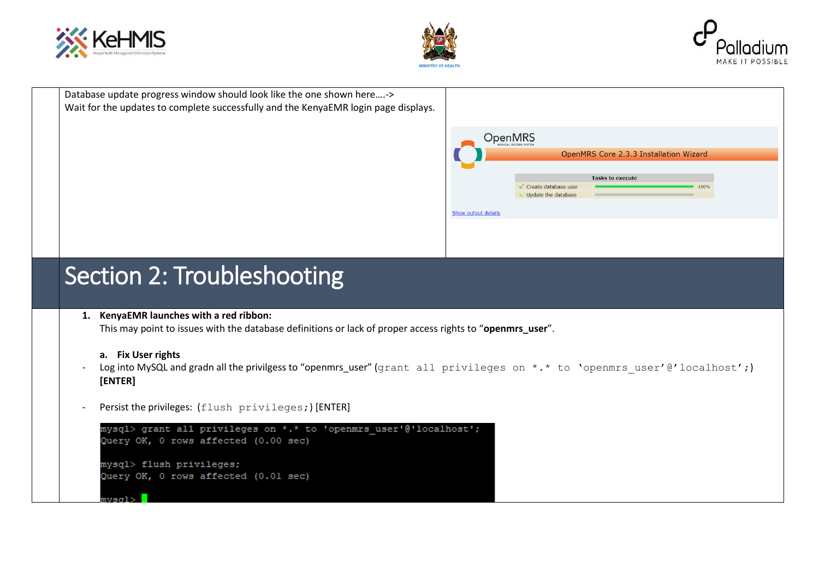





Database update progress window should look like the one shown here....-> Wait for the updates to complete successfully and the KenyaEMR login page displays.



## **7.**Section 2: Troubleshooting

#### **8. 1. KenyaEMR launches with a red ribbon:**

This may point to issues with the database definitions or lack of proper access rights to "**openmrs\_user**".

### **a. Fix User rights**

- Log into MySQL and gradn all the privilgess to "openmrs\_user" (grant all privileges on \*.\* to 'openmrs user'@'localhost';) **[ENTER]**
- Persist the privileges: (flush privileges;) [ENTER]